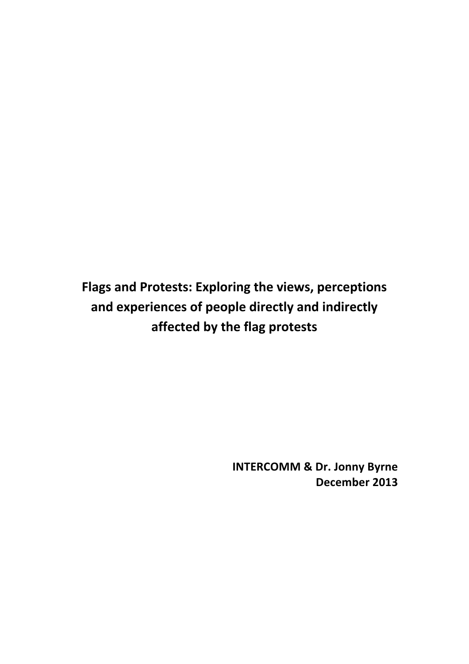Flags and Protests: Exploring the views, perceptions and experiences of people directly and indirectly **affected by the flag protests**

> **INTERCOMM & Dr. Jonny Byrne December 2013**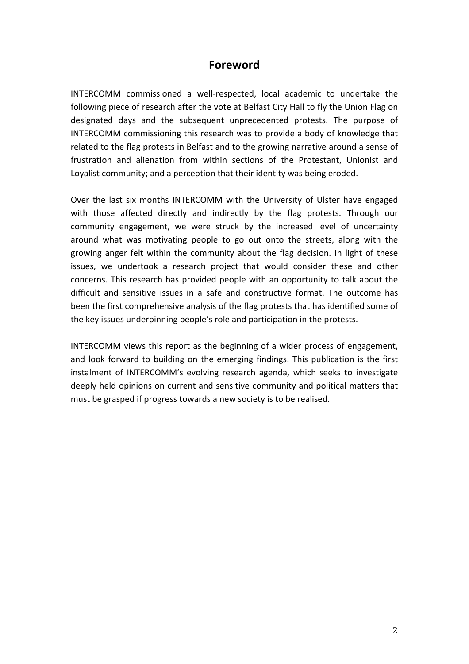## **Foreword**

INTERCOMM commissioned a well-respected, local academic to undertake the following piece of research after the vote at Belfast City Hall to fly the Union Flag on designated days and the subsequent unprecedented protests. The purpose of INTERCOMM commissioning this research was to provide a body of knowledge that related to the flag protests in Belfast and to the growing narrative around a sense of frustration and alienation from within sections of the Protestant, Unionist and Loyalist community; and a perception that their identity was being eroded.

Over the last six months INTERCOMM with the University of Ulster have engaged with those affected directly and indirectly by the flag protests. Through our community engagement, we were struck by the increased level of uncertainty around what was motivating people to go out onto the streets, along with the growing anger felt within the community about the flag decision. In light of these issues, we undertook a research project that would consider these and other concerns. This research has provided people with an opportunity to talk about the difficult and sensitive issues in a safe and constructive format. The outcome has been the first comprehensive analysis of the flag protests that has identified some of the key issues underpinning people's role and participation in the protests.

INTERCOMM views this report as the beginning of a wider process of engagement, and look forward to building on the emerging findings. This publication is the first instalment of INTERCOMM's evolving research agenda, which seeks to investigate deeply held opinions on current and sensitive community and political matters that must be grasped if progress towards a new society is to be realised.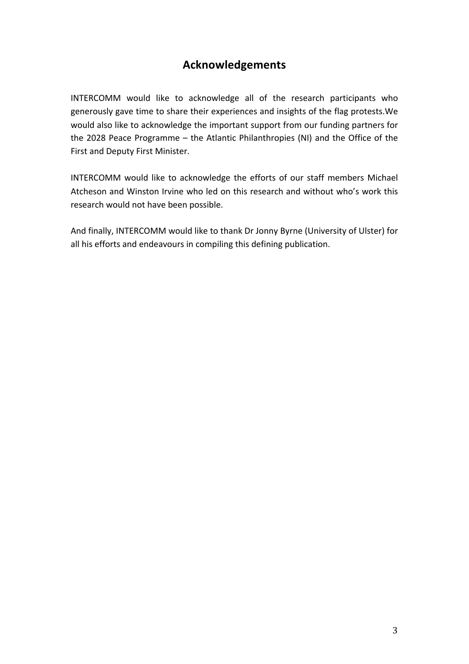# **Acknowledgements**

INTERCOMM would like to acknowledge all of the research participants who generously gave time to share their experiences and insights of the flag protests. We would also like to acknowledge the important support from our funding partners for the 2028 Peace Programme  $-$  the Atlantic Philanthropies (NI) and the Office of the First and Deputy First Minister.

INTERCOMM would like to acknowledge the efforts of our staff members Michael Atcheson and Winston Irvine who led on this research and without who's work this research would not have been possible.

And finally, INTERCOMM would like to thank Dr Jonny Byrne (University of Ulster) for all his efforts and endeavours in compiling this defining publication.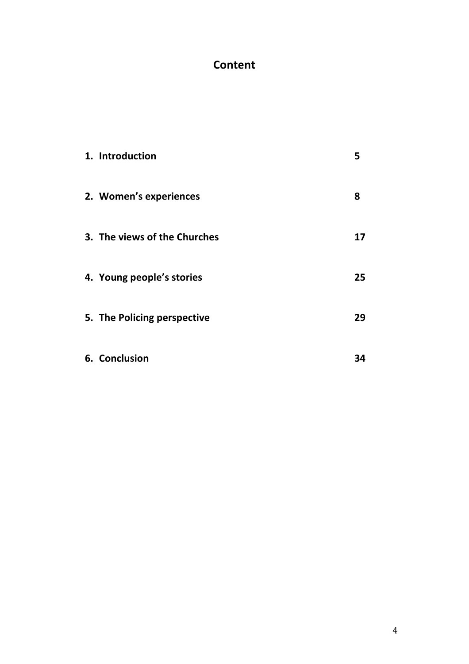# **Content**

| 1. Introduction              | 5  |
|------------------------------|----|
| 2. Women's experiences       | 8  |
| 3. The views of the Churches | 17 |
| 4. Young people's stories    | 25 |
| 5. The Policing perspective  | 29 |
| 6. Conclusion                | 34 |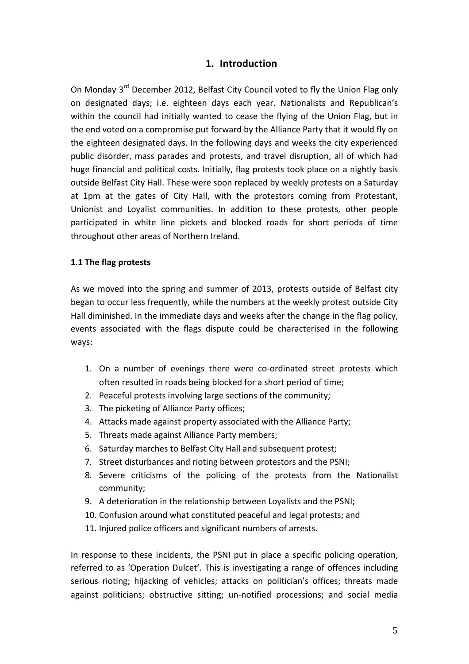## **1. Introduction**

On Monday 3<sup>rd</sup> December 2012, Belfast City Council voted to fly the Union Flag only on designated days; i.e. eighteen days each year. Nationalists and Republican's within the council had initially wanted to cease the flying of the Union Flag, but in the end voted on a compromise put forward by the Alliance Party that it would fly on the eighteen designated days. In the following days and weeks the city experienced public disorder, mass parades and protests, and travel disruption, all of which had huge financial and political costs. Initially, flag protests took place on a nightly basis outside Belfast City Hall. These were soon replaced by weekly protests on a Saturday at 1pm at the gates of City Hall, with the protestors coming from Protestant, Unionist and Loyalist communities. In addition to these protests, other people participated in white line pickets and blocked roads for short periods of time throughout other areas of Northern Ireland.

#### **1.1 The flag protests**

As we moved into the spring and summer of 2013, protests outside of Belfast city began to occur less frequently, while the numbers at the weekly protest outside City Hall diminished. In the immediate days and weeks after the change in the flag policy, events associated with the flags dispute could be characterised in the following ways: 

- 1. On a number of evenings there were co-ordinated street protests which often resulted in roads being blocked for a short period of time;
- 2. Peaceful protests involving large sections of the community;
- 3. The picketing of Alliance Party offices;
- 4. Attacks made against property associated with the Alliance Party;
- 5. Threats made against Alliance Party members;
- 6. Saturday marches to Belfast City Hall and subsequent protest;
- 7. Street disturbances and rioting between protestors and the PSNI;
- 8. Severe criticisms of the policing of the protests from the Nationalist community;
- 9. A deterioration in the relationship between Loyalists and the PSNI;
- 10. Confusion around what constituted peaceful and legal protests; and
- 11. Injured police officers and significant numbers of arrests.

In response to these incidents, the PSNI put in place a specific policing operation, referred to as 'Operation Dulcet'. This is investigating a range of offences including serious rioting; hijacking of vehicles; attacks on politician's offices; threats made against politicians; obstructive sitting; un-notified processions; and social media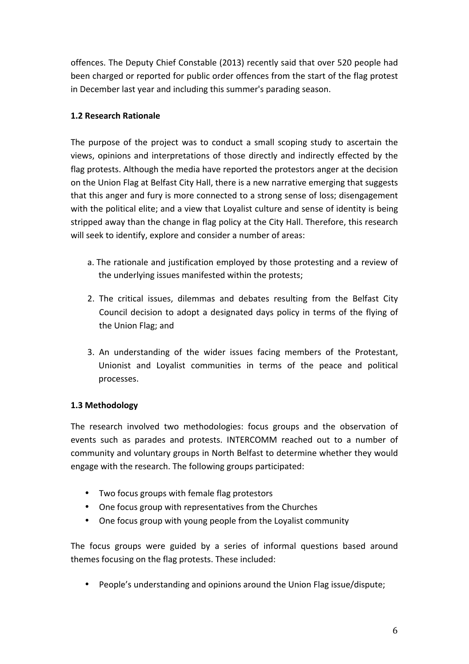offences. The Deputy Chief Constable (2013) recently said that over 520 people had been charged or reported for public order offences from the start of the flag protest in December last year and including this summer's parading season.

## **1.2 Research Rationale**

The purpose of the project was to conduct a small scoping study to ascertain the views, opinions and interpretations of those directly and indirectly effected by the flag protests. Although the media have reported the protestors anger at the decision on the Union Flag at Belfast City Hall, there is a new narrative emerging that suggests that this anger and fury is more connected to a strong sense of loss; disengagement with the political elite; and a view that Loyalist culture and sense of identity is being stripped away than the change in flag policy at the City Hall. Therefore, this research will seek to identify, explore and consider a number of areas:

- a. The rationale and justification employed by those protesting and a review of the underlying issues manifested within the protests;
- 2. The critical issues, dilemmas and debates resulting from the Belfast City Council decision to adopt a designated days policy in terms of the flying of the Union Flag; and
- 3. An understanding of the wider issues facing members of the Protestant, Unionist and Loyalist communities in terms of the peace and political processes.

### **1.3 Methodology**

The research involved two methodologies: focus groups and the observation of events such as parades and protests. INTERCOMM reached out to a number of community and voluntary groups in North Belfast to determine whether they would engage with the research. The following groups participated:

- Two focus groups with female flag protestors
- One focus group with representatives from the Churches
- One focus group with young people from the Loyalist community

The focus groups were guided by a series of informal questions based around themes focusing on the flag protests. These included:

• People's understanding and opinions around the Union Flag issue/dispute;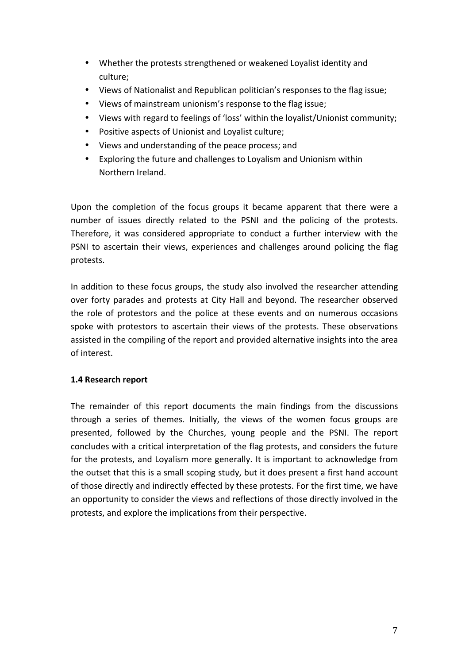- Whether the protests strengthened or weakened Loyalist identity and culture;
- Views of Nationalist and Republican politician's responses to the flag issue;
- Views of mainstream unionism's response to the flag issue;
- Views with regard to feelings of 'loss' within the loyalist/Unionist community;
- Positive aspects of Unionist and Loyalist culture;
- Views and understanding of the peace process; and
- Exploring the future and challenges to Loyalism and Unionism within Northern Ireland.

Upon the completion of the focus groups it became apparent that there were a number of issues directly related to the PSNI and the policing of the protests. Therefore, it was considered appropriate to conduct a further interview with the PSNI to ascertain their views, experiences and challenges around policing the flag protests. 

In addition to these focus groups, the study also involved the researcher attending over forty parades and protests at City Hall and beyond. The researcher observed the role of protestors and the police at these events and on numerous occasions spoke with protestors to ascertain their views of the protests. These observations assisted in the compiling of the report and provided alternative insights into the area of interest.

### **1.4 Research report**

The remainder of this report documents the main findings from the discussions through a series of themes. Initially, the views of the women focus groups are presented, followed by the Churches, young people and the PSNI. The report concludes with a critical interpretation of the flag protests, and considers the future for the protests, and Loyalism more generally. It is important to acknowledge from the outset that this is a small scoping study, but it does present a first hand account of those directly and indirectly effected by these protests. For the first time, we have an opportunity to consider the views and reflections of those directly involved in the protests, and explore the implications from their perspective.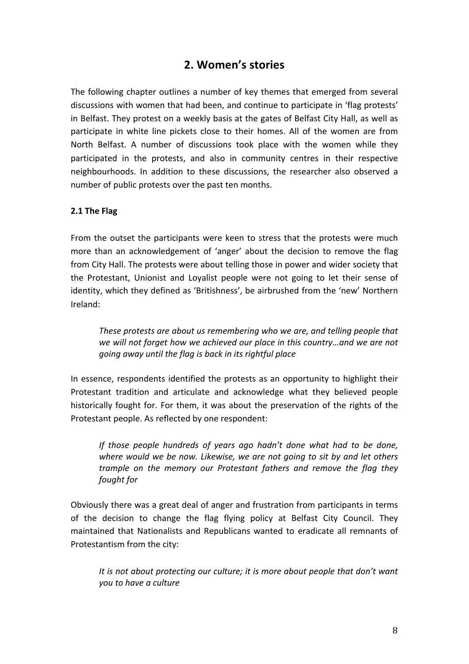# **2. Women's stories**

The following chapter outlines a number of key themes that emerged from several discussions with women that had been, and continue to participate in 'flag protests' in Belfast. They protest on a weekly basis at the gates of Belfast City Hall, as well as participate in white line pickets close to their homes. All of the women are from North Belfast. A number of discussions took place with the women while they participated in the protests, and also in community centres in their respective neighbourhoods. In addition to these discussions, the researcher also observed a number of public protests over the past ten months.

### **2.1 The Flag**

From the outset the participants were keen to stress that the protests were much more than an acknowledgement of 'anger' about the decision to remove the flag from City Hall. The protests were about telling those in power and wider society that the Protestant, Unionist and Loyalist people were not going to let their sense of identity, which they defined as 'Britishness', be airbrushed from the 'new' Northern Ireland: 

*These* protests are about us remembering who we are, and telling people that we will not forget how we achieved our place in this country…and we are not *going away until the flag is back in its rightful place* 

In essence, respondents identified the protests as an opportunity to highlight their Protestant tradition and articulate and acknowledge what they believed people historically fought for. For them, it was about the preservation of the rights of the Protestant people. As reflected by one respondent:

*If those people hundreds of years ago hadn't done what had to be done,* where would we be now. Likewise, we are not going to sit by and let others *trample on the memory our Protestant fathers and remove the flag they fought for*

Obviously there was a great deal of anger and frustration from participants in terms of the decision to change the flag flying policy at Belfast City Council. They maintained that Nationalists and Republicans wanted to eradicate all remnants of Protestantism from the city:

It is not about protecting our culture; it is more about people that don't want *you to have a culture*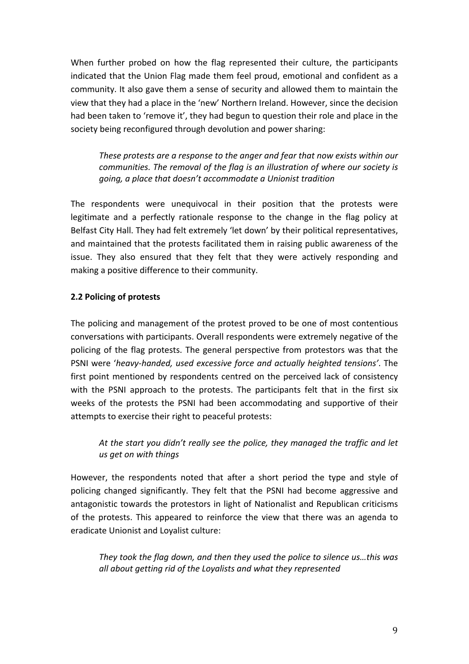When further probed on how the flag represented their culture, the participants indicated that the Union Flag made them feel proud, emotional and confident as a community. It also gave them a sense of security and allowed them to maintain the view that they had a place in the 'new' Northern Ireland. However, since the decision had been taken to 'remove it', they had begun to question their role and place in the society being reconfigured through devolution and power sharing:

*These protests are a response to the anger and fear that now exists within our communities. The removal of the flag is an illustration of where our society is going, a place that doesn't accommodate a Unionist tradition* 

The respondents were unequivocal in their position that the protests were legitimate and a perfectly rationale response to the change in the flag policy at Belfast City Hall. They had felt extremely 'let down' by their political representatives, and maintained that the protests facilitated them in raising public awareness of the issue. They also ensured that they felt that they were actively responding and making a positive difference to their community.

#### **2.2 Policing of protests**

The policing and management of the protest proved to be one of most contentious conversations with participants. Overall respondents were extremely negative of the policing of the flag protests. The general perspective from protestors was that the PSNI were 'heavy-handed, used excessive force and actually heighted tensions'. The first point mentioned by respondents centred on the perceived lack of consistency with the PSNI approach to the protests. The participants felt that in the first six weeks of the protests the PSNI had been accommodating and supportive of their attempts to exercise their right to peaceful protests:

## At the start you didn't really see the police, they managed the traffic and let *us get on with things*

However, the respondents noted that after a short period the type and style of policing changed significantly. They felt that the PSNI had become aggressive and antagonistic towards the protestors in light of Nationalist and Republican criticisms of the protests. This appeared to reinforce the view that there was an agenda to eradicate Unionist and Loyalist culture:

They took the flag down, and then they used the police to silence us...this was *all about getting rid of the Loyalists and what they represented*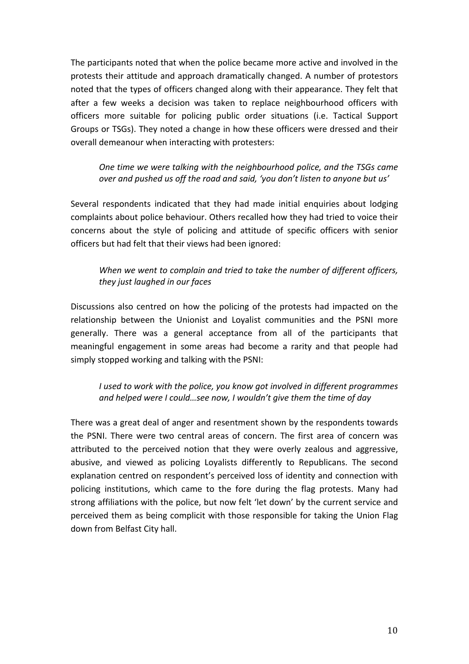The participants noted that when the police became more active and involved in the protests their attitude and approach dramatically changed. A number of protestors noted that the types of officers changed along with their appearance. They felt that after a few weeks a decision was taken to replace neighbourhood officers with officers more suitable for policing public order situations (i.e. Tactical Support Groups or TSGs). They noted a change in how these officers were dressed and their overall demeanour when interacting with protesters:

*One time we were talking with the neighbourhood police, and the TSGs came over and pushed us off the road and said, 'you don't listen to anyone but us'* 

Several respondents indicated that they had made initial enquiries about lodging complaints about police behaviour. Others recalled how they had tried to voice their concerns about the style of policing and attitude of specific officers with senior officers but had felt that their views had been ignored:

## When we went to complain and tried to take the number of different officers, *they just laughed in our faces*

Discussions also centred on how the policing of the protests had impacted on the relationship between the Unionist and Loyalist communities and the PSNI more generally. There was a general acceptance from all of the participants that meaningful engagement in some areas had become a rarity and that people had simply stopped working and talking with the PSNI:

*I* used to work with the police, you know got involved in different programmes and helped were I could...see now, I wouldn't give them the time of day

There was a great deal of anger and resentment shown by the respondents towards the PSNI. There were two central areas of concern. The first area of concern was attributed to the perceived notion that they were overly zealous and aggressive, abusive, and viewed as policing Loyalists differently to Republicans. The second explanation centred on respondent's perceived loss of identity and connection with policing institutions, which came to the fore during the flag protests. Many had strong affiliations with the police, but now felt 'let down' by the current service and perceived them as being complicit with those responsible for taking the Union Flag down from Belfast City hall.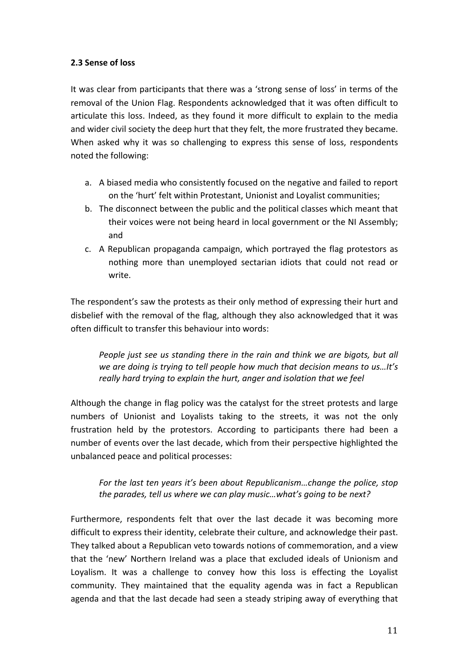### **2.3 Sense of loss**

It was clear from participants that there was a 'strong sense of loss' in terms of the removal of the Union Flag. Respondents acknowledged that it was often difficult to articulate this loss. Indeed, as they found it more difficult to explain to the media and wider civil society the deep hurt that they felt, the more frustrated they became. When asked why it was so challenging to express this sense of loss, respondents noted the following:

- a. A biased media who consistently focused on the negative and failed to report on the 'hurt' felt within Protestant, Unionist and Loyalist communities;
- b. The disconnect between the public and the political classes which meant that their voices were not being heard in local government or the NI Assembly; and
- c. A Republican propaganda campaign, which portrayed the flag protestors as nothing more than unemployed sectarian idiots that could not read or write.

The respondent's saw the protests as their only method of expressing their hurt and disbelief with the removal of the flag, although they also acknowledged that it was often difficult to transfer this behaviour into words:

*People just see us standing there in the rain and think we are bigots, but all we are doing is trying to tell people how much that decision means to us...It's* really hard trying to explain the hurt, anger and isolation that we feel

Although the change in flag policy was the catalyst for the street protests and large numbers of Unionist and Loyalists taking to the streets, it was not the only frustration held by the protestors. According to participants there had been a number of events over the last decade, which from their perspective highlighted the unbalanced peace and political processes:

For the last ten years it's been about Republicanism...change the police, stop the parades, tell us where we can play music...what's going to be next?

Furthermore, respondents felt that over the last decade it was becoming more difficult to express their identity, celebrate their culture, and acknowledge their past. They talked about a Republican veto towards notions of commemoration, and a view that the 'new' Northern Ireland was a place that excluded ideals of Unionism and Loyalism. It was a challenge to convey how this loss is effecting the Loyalist community. They maintained that the equality agenda was in fact a Republican agenda and that the last decade had seen a steady striping away of everything that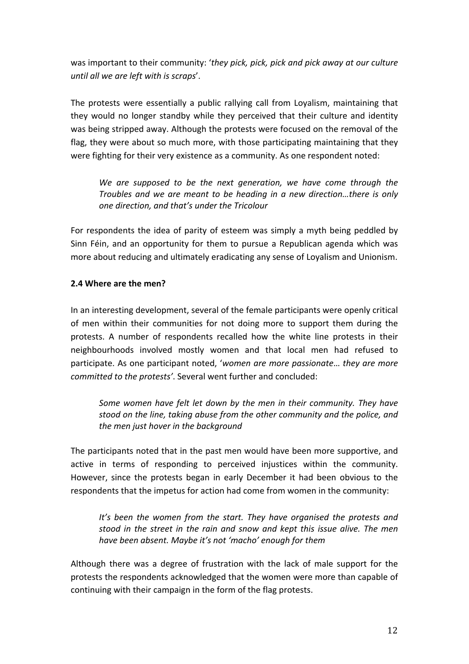was important to their community: 'they pick, pick, pick and pick away at our culture *until all we are left with is scraps'.* 

The protests were essentially a public rallying call from Loyalism, maintaining that they would no longer standby while they perceived that their culture and identity was being stripped away. Although the protests were focused on the removal of the flag, they were about so much more, with those participating maintaining that they were fighting for their very existence as a community. As one respondent noted:

We are supposed to be the next generation, we have come through the *Troubles and we are meant to be heading in a new direction...there is only one direction, and that's under the Tricolour* 

For respondents the idea of parity of esteem was simply a myth being peddled by Sinn Féin, and an opportunity for them to pursue a Republican agenda which was more about reducing and ultimately eradicating any sense of Loyalism and Unionism.

### **2.4** Where are the men?

In an interesting development, several of the female participants were openly critical of men within their communities for not doing more to support them during the protests. A number of respondents recalled how the white line protests in their neighbourhoods involved mostly women and that local men had refused to participate. As one participant noted, 'women are more passionate... they are more *committed to the protests'*. Several went further and concluded:

Some women have felt let down by the men in their community. They have *stood* on the line, taking abuse from the other community and the police, and the men just hover in the background

The participants noted that in the past men would have been more supportive, and active in terms of responding to perceived injustices within the community. However, since the protests began in early December it had been obvious to the respondents that the impetus for action had come from women in the community:

It's been the women from the start. They have organised the protests and stood in the street in the rain and snow and kept this issue alive. The men *have been absent. Maybe it's not 'macho' enough for them*

Although there was a degree of frustration with the lack of male support for the protests the respondents acknowledged that the women were more than capable of continuing with their campaign in the form of the flag protests.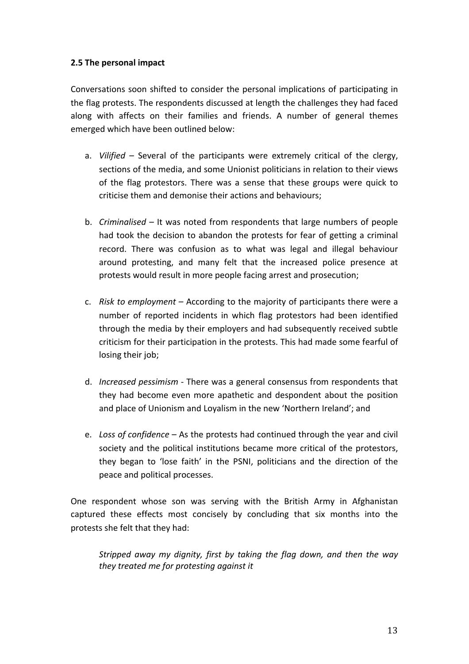### **2.5 The personal impact**

Conversations soon shifted to consider the personal implications of participating in the flag protests. The respondents discussed at length the challenges they had faced along with affects on their families and friends. A number of general themes emerged which have been outlined below:

- a. *Vilified* Several of the participants were extremely critical of the clergy, sections of the media, and some Unionist politicians in relation to their views of the flag protestors. There was a sense that these groups were quick to criticise them and demonise their actions and behaviours;
- b. *Criminalised* It was noted from respondents that large numbers of people had took the decision to abandon the protests for fear of getting a criminal record. There was confusion as to what was legal and illegal behaviour around protesting, and many felt that the increased police presence at protests would result in more people facing arrest and prosecution;
- c. *Risk to employment* According to the majority of participants there were a number of reported incidents in which flag protestors had been identified through the media by their employers and had subsequently received subtle criticism for their participation in the protests. This had made some fearful of losing their job;
- d. *Increased pessimism* There was a general consensus from respondents that they had become even more apathetic and despondent about the position and place of Unionism and Loyalism in the new 'Northern Ireland'; and
- e. Loss of confidence As the protests had continued through the year and civil society and the political institutions became more critical of the protestors, they began to 'lose faith' in the PSNI, politicians and the direction of the peace and political processes.

One respondent whose son was serving with the British Army in Afghanistan captured these effects most concisely by concluding that six months into the protests she felt that they had:

*Stripped away my dignity, first by taking the flag down, and then the way they treated me for protesting against it*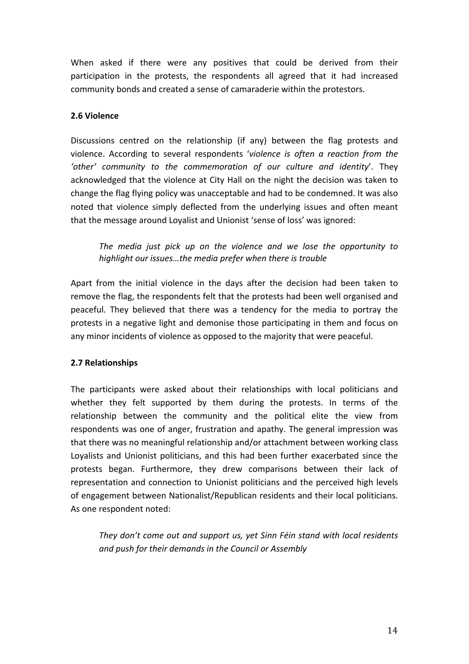When asked if there were any positives that could be derived from their participation in the protests, the respondents all agreed that it had increased community bonds and created a sense of camaraderie within the protestors.

### **2.6 Violence**

Discussions centred on the relationship (if any) between the flag protests and violence. According to several respondents 'violence is often a reaction from the *'other' community to the commemoration of our culture and identity*'. They acknowledged that the violence at City Hall on the night the decision was taken to change the flag flying policy was unacceptable and had to be condemned. It was also noted that violence simply deflected from the underlying issues and often meant that the message around Loyalist and Unionist 'sense of loss' was ignored:

The media just pick up on the violence and we lose the opportunity to *highlight our issues...the media prefer when there is trouble* 

Apart from the initial violence in the days after the decision had been taken to remove the flag, the respondents felt that the protests had been well organised and peaceful. They believed that there was a tendency for the media to portray the protests in a negative light and demonise those participating in them and focus on any minor incidents of violence as opposed to the majority that were peaceful.

## **2.7 Relationships**

The participants were asked about their relationships with local politicians and whether they felt supported by them during the protests. In terms of the relationship between the community and the political elite the view from respondents was one of anger, frustration and apathy. The general impression was that there was no meaningful relationship and/or attachment between working class Loyalists and Unionist politicians, and this had been further exacerbated since the protests began. Furthermore, they drew comparisons between their lack of representation and connection to Unionist politicians and the perceived high levels of engagement between Nationalist/Republican residents and their local politicians. As one respondent noted:

They don't come out and support us, yet Sinn Féin stand with local residents and push for their demands in the Council or Assembly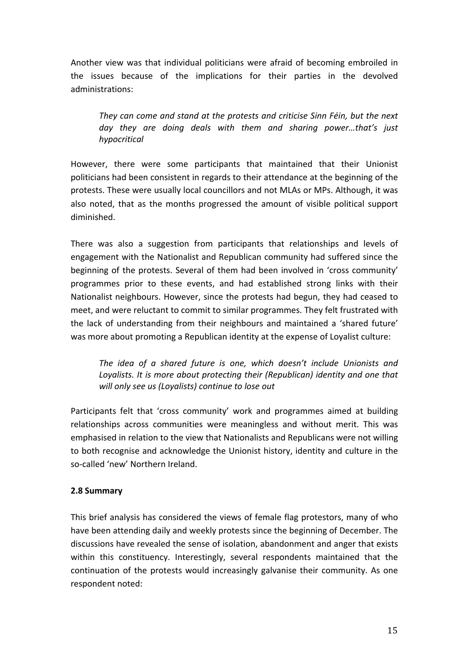Another view was that individual politicians were afraid of becoming embroiled in the issues because of the implications for their parties in the devolved administrations: 

They can come and stand at the protests and criticise Sinn Féin, but the next day they are doing deals with them and sharing power...that's just *hypocritical* 

However, there were some participants that maintained that their Unionist politicians had been consistent in regards to their attendance at the beginning of the protests. These were usually local councillors and not MLAs or MPs. Although, it was also noted, that as the months progressed the amount of visible political support diminished. 

There was also a suggestion from participants that relationships and levels of engagement with the Nationalist and Republican community had suffered since the beginning of the protests. Several of them had been involved in 'cross community' programmes prior to these events, and had established strong links with their Nationalist neighbours. However, since the protests had begun, they had ceased to meet, and were reluctant to commit to similar programmes. They felt frustrated with the lack of understanding from their neighbours and maintained a 'shared future' was more about promoting a Republican identity at the expense of Loyalist culture:

The *idea* of a shared future is one, which doesn't include Unionists and Loyalists. It is more about protecting their (Republican) identity and one that will only see us (Loyalists) continue to lose out

Participants felt that 'cross community' work and programmes aimed at building relationships across communities were meaningless and without merit. This was emphasised in relation to the view that Nationalists and Republicans were not willing to both recognise and acknowledge the Unionist history, identity and culture in the so-called 'new' Northern Ireland.

### **2.8 Summary**

This brief analysis has considered the views of female flag protestors, many of who have been attending daily and weekly protests since the beginning of December. The discussions have revealed the sense of isolation, abandonment and anger that exists within this constituency. Interestingly, several respondents maintained that the continuation of the protests would increasingly galvanise their community. As one respondent noted: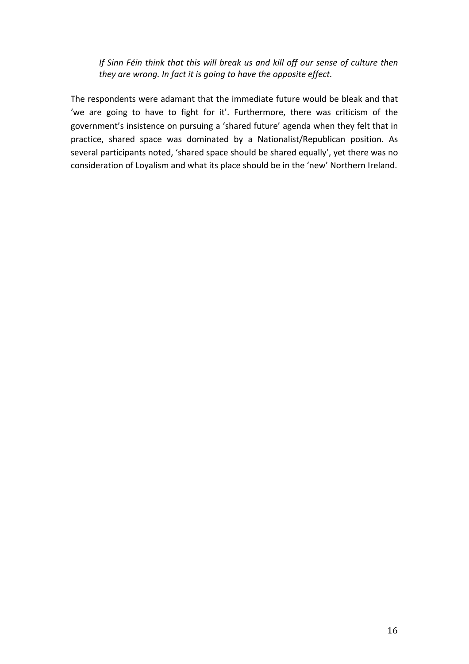*If* Sinn Féin think that this will break us and kill off our sense of culture then *they are wrong. In fact it is going to have the opposite effect.* 

The respondents were adamant that the immediate future would be bleak and that 'we are going to have to fight for it'. Furthermore, there was criticism of the government's insistence on pursuing a 'shared future' agenda when they felt that in practice, shared space was dominated by a Nationalist/Republican position. As several participants noted, 'shared space should be shared equally', yet there was no consideration of Loyalism and what its place should be in the 'new' Northern Ireland.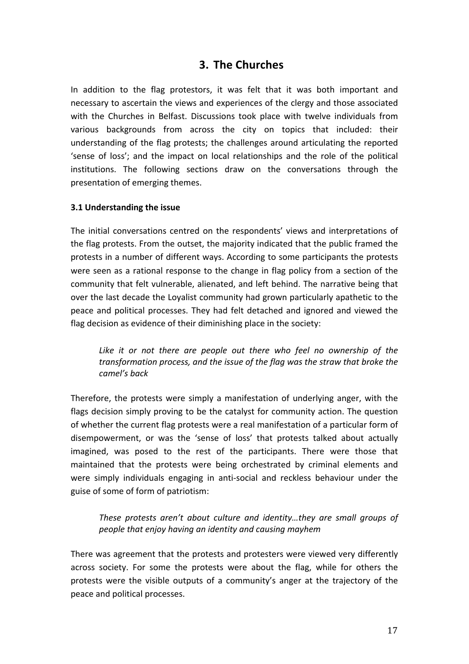## **3. The Churches**

In addition to the flag protestors, it was felt that it was both important and necessary to ascertain the views and experiences of the clergy and those associated with the Churches in Belfast. Discussions took place with twelve individuals from various backgrounds from across the city on topics that included: their understanding of the flag protests; the challenges around articulating the reported 'sense of loss'; and the impact on local relationships and the role of the political institutions. The following sections draw on the conversations through the presentation of emerging themes.

#### **3.1 Understanding the issue**

The initial conversations centred on the respondents' views and interpretations of the flag protests. From the outset, the majority indicated that the public framed the protests in a number of different ways. According to some participants the protests were seen as a rational response to the change in flag policy from a section of the community that felt vulnerable, alienated, and left behind. The narrative being that over the last decade the Loyalist community had grown particularly apathetic to the peace and political processes. They had felt detached and ignored and viewed the flag decision as evidence of their diminishing place in the society:

Like it or not there are people out there who feel no ownership of the *transformation process, and the issue of the flag was the straw that broke the camel's back*

Therefore, the protests were simply a manifestation of underlying anger, with the flags decision simply proving to be the catalyst for community action. The question of whether the current flag protests were a real manifestation of a particular form of disempowerment, or was the 'sense of loss' that protests talked about actually imagined, was posed to the rest of the participants. There were those that maintained that the protests were being orchestrated by criminal elements and were simply individuals engaging in anti-social and reckless behaviour under the guise of some of form of patriotism:

These protests aren't about culture and *identity...they* are small groups of *people that enjoy having an identity and causing mayhem*

There was agreement that the protests and protesters were viewed very differently across society. For some the protests were about the flag, while for others the protests were the visible outputs of a community's anger at the trajectory of the peace and political processes.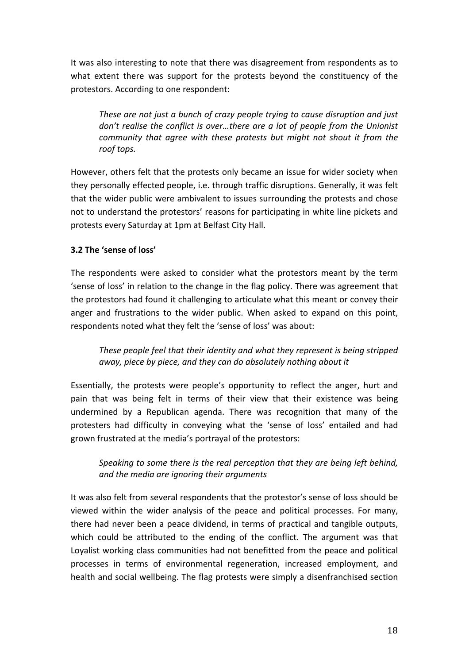It was also interesting to note that there was disagreement from respondents as to what extent there was support for the protests beyond the constituency of the protestors. According to one respondent:

*These are not just a bunch of crazy people trying to cause disruption and just* don't realise the conflict is over...there are a lot of people from the Unionist *community* that agree with these protests but might not shout it from the *roof tops.*

However, others felt that the protests only became an issue for wider society when they personally effected people, i.e. through traffic disruptions. Generally, it was felt that the wider public were ambivalent to issues surrounding the protests and chose not to understand the protestors' reasons for participating in white line pickets and protests every Saturday at 1pm at Belfast City Hall.

### **3.2 The 'sense of loss'**

The respondents were asked to consider what the protestors meant by the term 'sense of loss' in relation to the change in the flag policy. There was agreement that the protestors had found it challenging to articulate what this meant or convey their anger and frustrations to the wider public. When asked to expand on this point, respondents noted what they felt the 'sense of loss' was about:

These people feel that their identity and what they represent is being stripped *away, piece by piece, and they can do absolutely nothing about it*

Essentially, the protests were people's opportunity to reflect the anger, hurt and pain that was being felt in terms of their view that their existence was being undermined by a Republican agenda. There was recognition that many of the protesters had difficulty in conveying what the 'sense of loss' entailed and had grown frustrated at the media's portrayal of the protestors:

## *Speaking to some there is the real perception that they are being left behind, and the media are ignoring their arguments*

It was also felt from several respondents that the protestor's sense of loss should be viewed within the wider analysis of the peace and political processes. For many, there had never been a peace dividend, in terms of practical and tangible outputs, which could be attributed to the ending of the conflict. The argument was that Loyalist working class communities had not benefitted from the peace and political processes in terms of environmental regeneration, increased employment, and health and social wellbeing. The flag protests were simply a disenfranchised section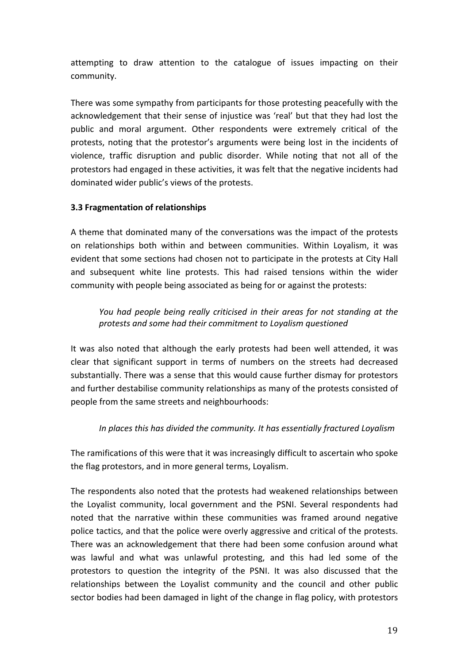attempting to draw attention to the catalogue of issues impacting on their community.

There was some sympathy from participants for those protesting peacefully with the acknowledgement that their sense of injustice was 'real' but that they had lost the public and moral argument. Other respondents were extremely critical of the protests, noting that the protestor's arguments were being lost in the incidents of violence, traffic disruption and public disorder. While noting that not all of the protestors had engaged in these activities, it was felt that the negative incidents had dominated wider public's views of the protests.

### **3.3 Fragmentation of relationships**

A theme that dominated many of the conversations was the impact of the protests on relationships both within and between communities. Within Loyalism, it was evident that some sections had chosen not to participate in the protests at City Hall and subsequent white line protests. This had raised tensions within the wider community with people being associated as being for or against the protests:

*You* had people being really criticised in their areas for not standing at the *protests and some had their commitment to Loyalism questioned*

It was also noted that although the early protests had been well attended, it was clear that significant support in terms of numbers on the streets had decreased substantially. There was a sense that this would cause further dismay for protestors and further destabilise community relationships as many of the protests consisted of people from the same streets and neighbourhoods:

### In places this has divided the community. It has essentially fractured Loyalism

The ramifications of this were that it was increasingly difficult to ascertain who spoke the flag protestors, and in more general terms, Loyalism.

The respondents also noted that the protests had weakened relationships between the Loyalist community, local government and the PSNI. Several respondents had noted that the narrative within these communities was framed around negative police tactics, and that the police were overly aggressive and critical of the protests. There was an acknowledgement that there had been some confusion around what was lawful and what was unlawful protesting, and this had led some of the protestors to question the integrity of the PSNI. It was also discussed that the relationships between the Loyalist community and the council and other public sector bodies had been damaged in light of the change in flag policy, with protestors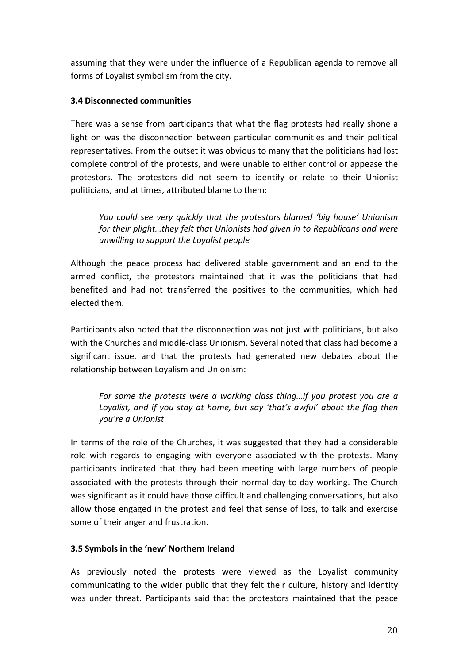assuming that they were under the influence of a Republican agenda to remove all forms of Loyalist symbolism from the city.

### **3.4 Disconnected communities**

There was a sense from participants that what the flag protests had really shone a light on was the disconnection between particular communities and their political representatives. From the outset it was obvious to many that the politicians had lost complete control of the protests, and were unable to either control or appease the protestors. The protestors did not seem to identify or relate to their Unionist politicians, and at times, attributed blame to them:

*You could see very quickly that the protestors blamed 'big house' Unionism for their plight...they felt that Unionists had given in to Republicans and were unwilling to support the Loyalist people* 

Although the peace process had delivered stable government and an end to the armed conflict, the protestors maintained that it was the politicians that had benefited and had not transferred the positives to the communities, which had elected them.

Participants also noted that the disconnection was not just with politicians, but also with the Churches and middle-class Unionism. Several noted that class had become a significant issue, and that the protests had generated new debates about the relationship between Loyalism and Unionism:

*For some the protests were a working class thing...if you protest you are a* Loyalist, and if you stay at home, but say 'that's awful' about the flag then *you're a Unionist*

In terms of the role of the Churches, it was suggested that they had a considerable role with regards to engaging with everyone associated with the protests. Many participants indicated that they had been meeting with large numbers of people associated with the protests through their normal day-to-day working. The Church was significant as it could have those difficult and challenging conversations, but also allow those engaged in the protest and feel that sense of loss, to talk and exercise some of their anger and frustration.

## **3.5 Symbols in the 'new' Northern Ireland**

As previously noted the protests were viewed as the Loyalist community communicating to the wider public that they felt their culture, history and identity was under threat. Participants said that the protestors maintained that the peace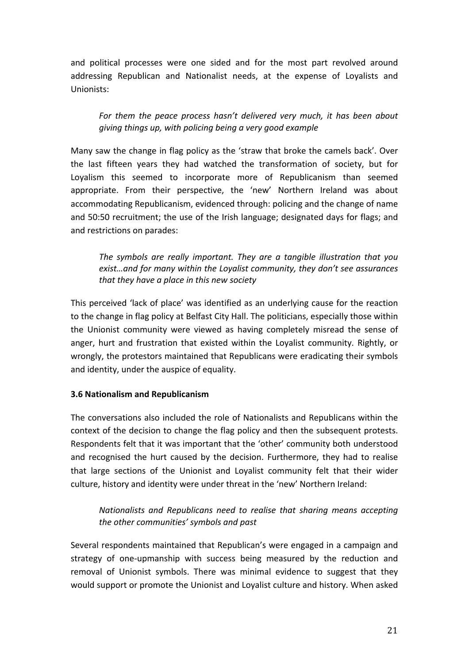and political processes were one sided and for the most part revolved around addressing Republican and Nationalist needs, at the expense of Loyalists and Unionists: 

For them the peace process hasn't delivered very much, it has been about *giving things up, with policing being a very good example*

Many saw the change in flag policy as the 'straw that broke the camels back'. Over the last fifteen years they had watched the transformation of society, but for Loyalism this seemed to incorporate more of Republicanism than seemed appropriate. From their perspective, the 'new' Northern Ireland was about accommodating Republicanism, evidenced through: policing and the change of name and 50:50 recruitment; the use of the Irish language; designated days for flags; and and restrictions on parades:

The symbols are really *important.* They are a tangible illustration that you *exist...and for many within the Loyalist community, they don't see assurances* that they have a place in this new society

This perceived 'lack of place' was identified as an underlying cause for the reaction to the change in flag policy at Belfast City Hall. The politicians, especially those within the Unionist community were viewed as having completely misread the sense of anger, hurt and frustration that existed within the Loyalist community. Rightly, or wrongly, the protestors maintained that Republicans were eradicating their symbols and identity, under the auspice of equality.

### **3.6 Nationalism and Republicanism**

The conversations also included the role of Nationalists and Republicans within the context of the decision to change the flag policy and then the subsequent protests. Respondents felt that it was important that the 'other' community both understood and recognised the hurt caused by the decision. Furthermore, they had to realise that large sections of the Unionist and Loyalist community felt that their wider culture, history and identity were under threat in the 'new' Northern Ireland:

*Nationalists and Republicans need to realise that sharing means accepting the other communities' symbols and past* 

Several respondents maintained that Republican's were engaged in a campaign and strategy of one-upmanship with success being measured by the reduction and removal of Unionist symbols. There was minimal evidence to suggest that they would support or promote the Unionist and Loyalist culture and history. When asked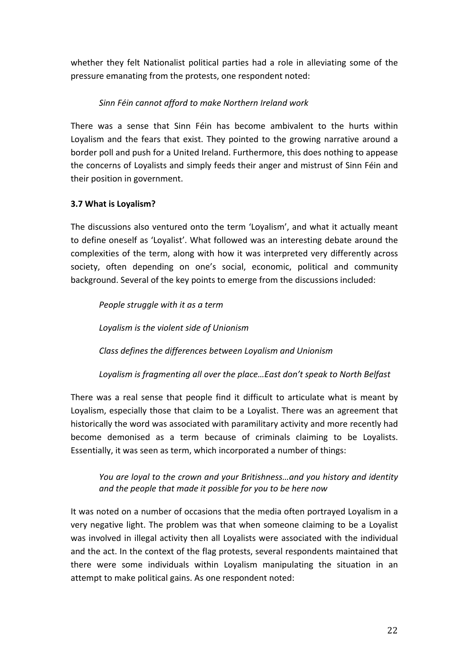whether they felt Nationalist political parties had a role in alleviating some of the pressure emanating from the protests, one respondent noted:

## *Sinn Féin cannot afford to make Northern Ireland work*

There was a sense that Sinn Féin has become ambivalent to the hurts within Loyalism and the fears that exist. They pointed to the growing narrative around a border poll and push for a United Ireland. Furthermore, this does nothing to appease the concerns of Loyalists and simply feeds their anger and mistrust of Sinn Féin and their position in government.

## **3.7 What is Loyalism?**

The discussions also ventured onto the term 'Loyalism', and what it actually meant to define oneself as 'Loyalist'. What followed was an interesting debate around the complexities of the term, along with how it was interpreted very differently across society, often depending on one's social, economic, political and community background. Several of the key points to emerge from the discussions included:

*People struggle with it as a term* Loyalism is the violent side of Unionism *Class defines the differences between Loyalism and Unionism* 

Loyalism is fragmenting all over the place...East don't speak to North Belfast

There was a real sense that people find it difficult to articulate what is meant by Loyalism, especially those that claim to be a Loyalist. There was an agreement that historically the word was associated with paramilitary activity and more recently had become demonised as a term because of criminals claiming to be Loyalists. Essentially, it was seen as term, which incorporated a number of things:

*You* are loyal to the crown and your Britishness...and you history and identity and the people that made it possible for you to be here now

It was noted on a number of occasions that the media often portrayed Loyalism in a very negative light. The problem was that when someone claiming to be a Loyalist was involved in illegal activity then all Loyalists were associated with the individual and the act. In the context of the flag protests, several respondents maintained that there were some individuals within Loyalism manipulating the situation in an attempt to make political gains. As one respondent noted: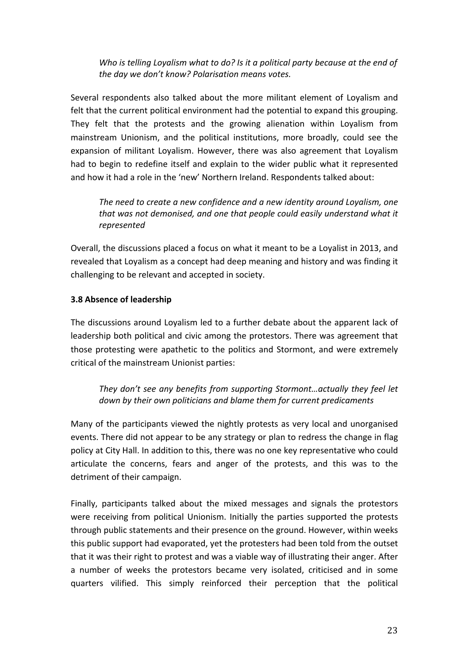*Who is telling Loyalism what to do? Is it a political party because at the end of the day we don't know? Polarisation means votes.* 

Several respondents also talked about the more militant element of Loyalism and felt that the current political environment had the potential to expand this grouping. They felt that the protests and the growing alienation within Loyalism from mainstream Unionism, and the political institutions, more broadly, could see the expansion of militant Loyalism. However, there was also agreement that Loyalism had to begin to redefine itself and explain to the wider public what it represented and how it had a role in the 'new' Northern Ireland. Respondents talked about:

The need to create a new confidence and a new identity around Loyalism, one that was not demonised, and one that people could easily understand what it *represented*

Overall, the discussions placed a focus on what it meant to be a Loyalist in 2013, and revealed that Loyalism as a concept had deep meaning and history and was finding it challenging to be relevant and accepted in society.

## **3.8 Absence of leadership**

The discussions around Loyalism led to a further debate about the apparent lack of leadership both political and civic among the protestors. There was agreement that those protesting were apathetic to the politics and Stormont, and were extremely critical of the mainstream Unionist parties:

*They don't see any benefits from supporting Stormont...actually they feel let* down by their own politicians and blame them for current predicaments

Many of the participants viewed the nightly protests as very local and unorganised events. There did not appear to be any strategy or plan to redress the change in flag policy at City Hall. In addition to this, there was no one key representative who could articulate the concerns, fears and anger of the protests, and this was to the detriment of their campaign.

Finally, participants talked about the mixed messages and signals the protestors were receiving from political Unionism. Initially the parties supported the protests through public statements and their presence on the ground. However, within weeks this public support had evaporated, yet the protesters had been told from the outset that it was their right to protest and was a viable way of illustrating their anger. After a number of weeks the protestors became very isolated, criticised and in some quarters vilified. This simply reinforced their perception that the political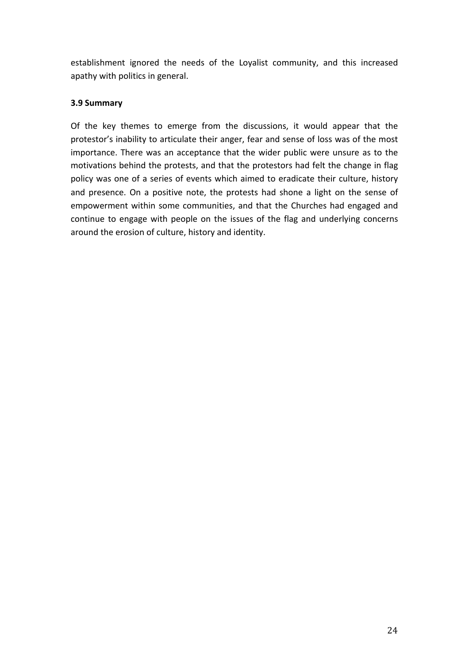establishment ignored the needs of the Loyalist community, and this increased apathy with politics in general.

#### **3.9 Summary**

Of the key themes to emerge from the discussions, it would appear that the protestor's inability to articulate their anger, fear and sense of loss was of the most importance. There was an acceptance that the wider public were unsure as to the motivations behind the protests, and that the protestors had felt the change in flag policy was one of a series of events which aimed to eradicate their culture, history and presence. On a positive note, the protests had shone a light on the sense of empowerment within some communities, and that the Churches had engaged and continue to engage with people on the issues of the flag and underlying concerns around the erosion of culture, history and identity.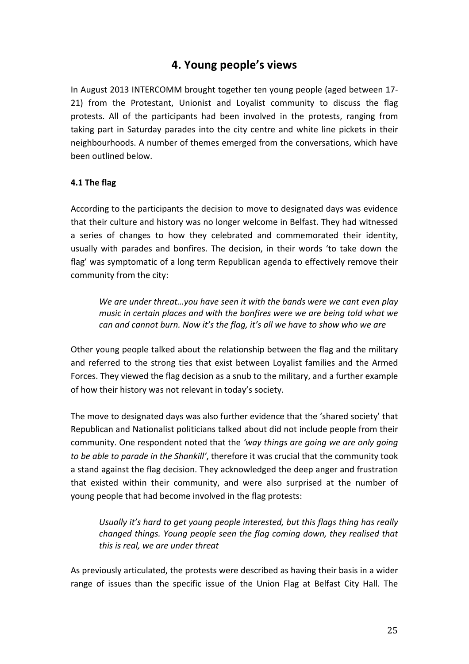# **4. Young people's views**

In August 2013 INTERCOMM brought together ten young people (aged between 17-21) from the Protestant, Unionist and Loyalist community to discuss the flag protests. All of the participants had been involved in the protests, ranging from taking part in Saturday parades into the city centre and white line pickets in their neighbourhoods. A number of themes emerged from the conversations, which have been outlined below. 

#### **4.1 The flag**

According to the participants the decision to move to designated days was evidence that their culture and history was no longer welcome in Belfast. They had witnessed a series of changes to how they celebrated and commemorated their identity, usually with parades and bonfires. The decision, in their words 'to take down the flag' was symptomatic of a long term Republican agenda to effectively remove their community from the city:

We are under threat...you have seen it with the bands were we cant even play *music* in certain places and with the bonfires were we are being told what we *can and cannot burn.* Now it's the flag, it's all we have to show who we are

Other young people talked about the relationship between the flag and the military and referred to the strong ties that exist between Loyalist families and the Armed Forces. They viewed the flag decision as a snub to the military, and a further example of how their history was not relevant in today's society.

The move to designated days was also further evidence that the 'shared society' that Republican and Nationalist politicians talked about did not include people from their community. One respondent noted that the 'way things are going we are only going *to be able to parade in the Shankill'*, therefore it was crucial that the community took a stand against the flag decision. They acknowledged the deep anger and frustration that existed within their community, and were also surprised at the number of young people that had become involved in the flag protests:

Usually it's hard to get young people interested, but this flags thing has really *changed things. Young people seen the flag coming down, they realised that* this is real, we are under threat

As previously articulated, the protests were described as having their basis in a wider range of issues than the specific issue of the Union Flag at Belfast City Hall. The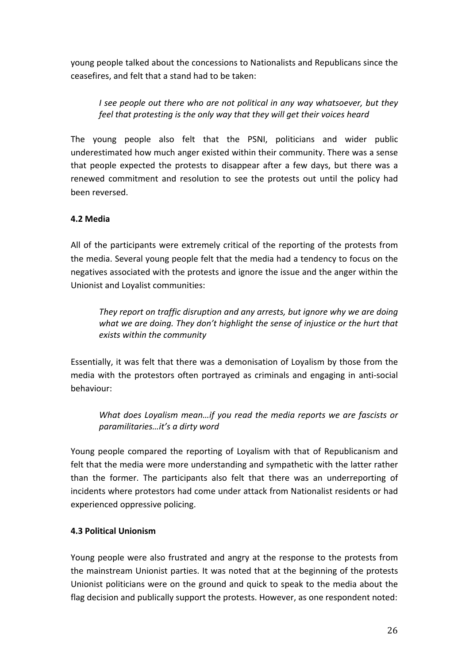young people talked about the concessions to Nationalists and Republicans since the ceasefires, and felt that a stand had to be taken:

*I* see people out there who are not political in any way whatsoever, but they *feel that protesting is the only way that they will get their voices heard* 

The young people also felt that the PSNI, politicians and wider public underestimated how much anger existed within their community. There was a sense that people expected the protests to disappear after a few days, but there was a renewed commitment and resolution to see the protests out until the policy had been reversed. 

### **4.2 Media**

All of the participants were extremely critical of the reporting of the protests from the media. Several young people felt that the media had a tendency to focus on the negatives associated with the protests and ignore the issue and the anger within the Unionist and Loyalist communities:

*They report on traffic disruption and any arrests, but ignore why we are doing* what we are doing. They don't highlight the sense of injustice or the hurt that *exists within the community*

Essentially, it was felt that there was a demonisation of Loyalism by those from the media with the protestors often portrayed as criminals and engaging in anti-social behaviour: 

*What does Loyalism mean...if you read the media reports we are fascists or paramilitaries…it's a dirty word*

Young people compared the reporting of Loyalism with that of Republicanism and felt that the media were more understanding and sympathetic with the latter rather than the former. The participants also felt that there was an underreporting of incidents where protestors had come under attack from Nationalist residents or had experienced oppressive policing.

### **4.3 Political Unionism**

Young people were also frustrated and angry at the response to the protests from the mainstream Unionist parties. It was noted that at the beginning of the protests Unionist politicians were on the ground and quick to speak to the media about the flag decision and publically support the protests. However, as one respondent noted: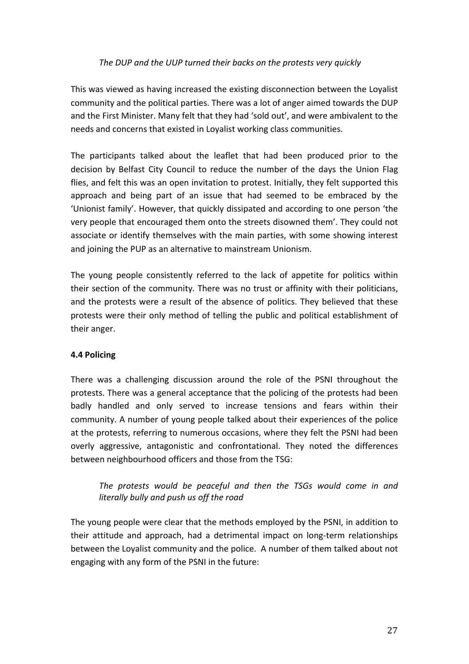### The DUP and the UUP turned their backs on the protests very quickly

This was viewed as having increased the existing disconnection between the Loyalist community and the political parties. There was a lot of anger aimed towards the DUP and the First Minister. Many felt that they had 'sold out', and were ambivalent to the needs and concerns that existed in Loyalist working class communities.

The participants talked about the leaflet that had been produced prior to the decision by Belfast City Council to reduce the number of the days the Union Flag flies, and felt this was an open invitation to protest. Initially, they felt supported this approach and being part of an issue that had seemed to be embraced by the 'Unionist family'. However, that quickly dissipated and according to one person 'the very people that encouraged them onto the streets disowned them'. They could not associate or identify themselves with the main parties, with some showing interest and joining the PUP as an alternative to mainstream Unionism.

The young people consistently referred to the lack of appetite for politics within their section of the community. There was no trust or affinity with their politicians, and the protests were a result of the absence of politics. They believed that these protests were their only method of telling the public and political establishment of their anger.

### **4.4 Policing**

There was a challenging discussion around the role of the PSNI throughout the protests. There was a general acceptance that the policing of the protests had been badly handled and only served to increase tensions and fears within their community. A number of young people talked about their experiences of the police at the protests, referring to numerous occasions, where they felt the PSNI had been overly aggressive, antagonistic and confrontational. They noted the differences between neighbourhood officers and those from the TSG:

The protests would be peaceful and then the TSGs would come in and *literally bully and push us off the road* 

The young people were clear that the methods employed by the PSNI, in addition to their attitude and approach, had a detrimental impact on long-term relationships between the Loyalist community and the police. A number of them talked about not engaging with any form of the PSNI in the future: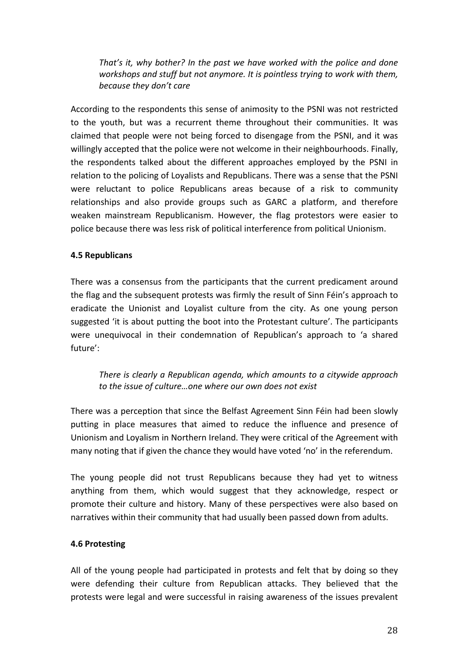*That's* it, why bother? In the past we have worked with the police and done *workshops and stuff but not anymore. It is pointless trying to work with them, because they don't care*

According to the respondents this sense of animosity to the PSNI was not restricted to the youth, but was a recurrent theme throughout their communities. It was claimed that people were not being forced to disengage from the PSNI, and it was willingly accepted that the police were not welcome in their neighbourhoods. Finally, the respondents talked about the different approaches employed by the PSNI in relation to the policing of Loyalists and Republicans. There was a sense that the PSNI were reluctant to police Republicans areas because of a risk to community relationships and also provide groups such as GARC a platform, and therefore weaken mainstream Republicanism. However, the flag protestors were easier to police because there was less risk of political interference from political Unionism.

### **4.5 Republicans**

There was a consensus from the participants that the current predicament around the flag and the subsequent protests was firmly the result of Sinn Féin's approach to eradicate the Unionist and Loyalist culture from the city. As one young person suggested 'it is about putting the boot into the Protestant culture'. The participants were unequivocal in their condemnation of Republican's approach to 'a shared future': 

## *There is clearly a Republican agenda, which amounts to a citywide approach* to the issue of culture...one where our own does not exist

There was a perception that since the Belfast Agreement Sinn Féin had been slowly putting in place measures that aimed to reduce the influence and presence of Unionism and Loyalism in Northern Ireland. They were critical of the Agreement with many noting that if given the chance they would have voted 'no' in the referendum.

The young people did not trust Republicans because they had yet to witness anything from them, which would suggest that they acknowledge, respect or promote their culture and history. Many of these perspectives were also based on narratives within their community that had usually been passed down from adults.

#### **4.6 Protesting**

All of the young people had participated in protests and felt that by doing so they were defending their culture from Republican attacks. They believed that the protests were legal and were successful in raising awareness of the issues prevalent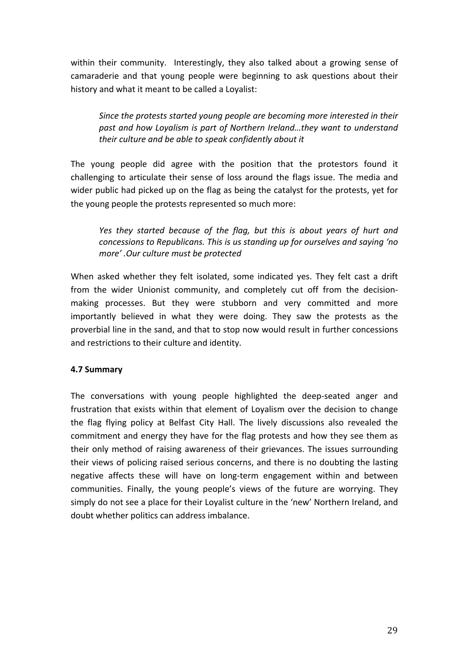within their community. Interestingly, they also talked about a growing sense of camaraderie and that young people were beginning to ask questions about their history and what it meant to be called a Loyalist:

Since the protests started young people are becoming more interested in their past and how Loyalism is part of Northern Ireland…they want to understand their culture and be able to speak confidently about it

The young people did agree with the position that the protestors found it challenging to articulate their sense of loss around the flags issue. The media and wider public had picked up on the flag as being the catalyst for the protests, yet for the young people the protests represented so much more:

Yes they started because of the flag, but this is about years of hurt and *concessions to Republicans. This is us standing up for ourselves and saying 'no more' .Our culture must be protected*

When asked whether they felt isolated, some indicated yes. They felt cast a drift from the wider Unionist community, and completely cut off from the decisionmaking processes. But they were stubborn and very committed and more importantly believed in what they were doing. They saw the protests as the proverbial line in the sand, and that to stop now would result in further concessions and restrictions to their culture and identity.

#### **4.7 Summary**

The conversations with young people highlighted the deep-seated anger and frustration that exists within that element of Loyalism over the decision to change the flag flying policy at Belfast City Hall. The lively discussions also revealed the commitment and energy they have for the flag protests and how they see them as their only method of raising awareness of their grievances. The issues surrounding their views of policing raised serious concerns, and there is no doubting the lasting negative affects these will have on long-term engagement within and between communities. Finally, the young people's views of the future are worrying. They simply do not see a place for their Loyalist culture in the 'new' Northern Ireland, and doubt whether politics can address imbalance.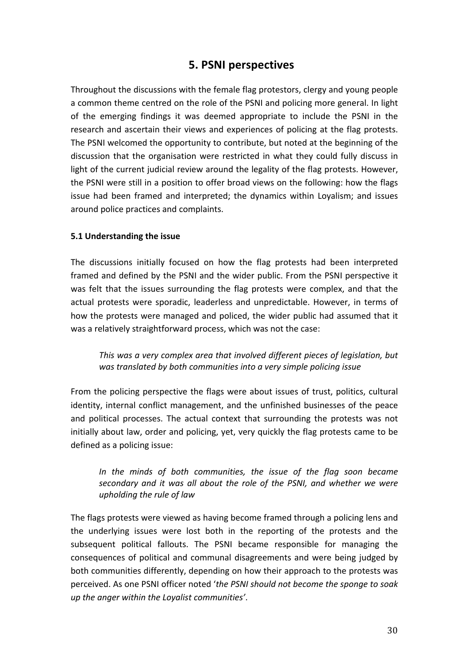# **5. PSNI perspectives**

Throughout the discussions with the female flag protestors, clergy and young people a common theme centred on the role of the PSNI and policing more general. In light of the emerging findings it was deemed appropriate to include the PSNI in the research and ascertain their views and experiences of policing at the flag protests. The PSNI welcomed the opportunity to contribute, but noted at the beginning of the discussion that the organisation were restricted in what they could fully discuss in light of the current judicial review around the legality of the flag protests. However, the PSNI were still in a position to offer broad views on the following: how the flags issue had been framed and interpreted; the dynamics within Loyalism; and issues around police practices and complaints.

#### **5.1 Understanding the issue**

The discussions initially focused on how the flag protests had been interpreted framed and defined by the PSNI and the wider public. From the PSNI perspective it was felt that the issues surrounding the flag protests were complex, and that the actual protests were sporadic, leaderless and unpredictable. However, in terms of how the protests were managed and policed, the wider public had assumed that it was a relatively straightforward process, which was not the case:

*This* was a very complex area that involved different pieces of legislation, but was translated by both communities into a very simple policing issue

From the policing perspective the flags were about issues of trust, politics, cultural identity, internal conflict management, and the unfinished businesses of the peace and political processes. The actual context that surrounding the protests was not initially about law, order and policing, yet, very quickly the flag protests came to be defined as a policing issue:

## *In* the minds of both communities, the issue of the flag soon became secondary and it was all about the role of the PSNI, and whether we were *upholding the rule of law*

The flags protests were viewed as having become framed through a policing lens and the underlying issues were lost both in the reporting of the protests and the subsequent political fallouts. The PSNI became responsible for managing the consequences of political and communal disagreements and were being judged by both communities differently, depending on how their approach to the protests was perceived. As one PSNI officer noted 'the PSNI should not become the sponge to soak *up the anger within the Loyalist communities'*.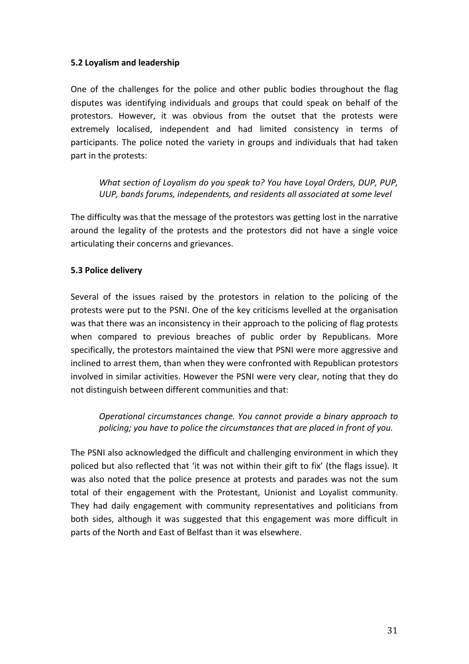### **5.2 Loyalism and leadership**

One of the challenges for the police and other public bodies throughout the flag disputes was identifying individuals and groups that could speak on behalf of the protestors. However, it was obvious from the outset that the protests were extremely localised, independent and had limited consistency in terms of participants. The police noted the variety in groups and individuals that had taken part in the protests:

*What section of Loyalism do you speak to? You have Loyal Orders, DUP, PUP, UUP, bands forums, independents, and residents all associated at some level*

The difficulty was that the message of the protestors was getting lost in the narrative around the legality of the protests and the protestors did not have a single voice articulating their concerns and grievances.

#### **5.3 Police delivery**

Several of the issues raised by the protestors in relation to the policing of the protests were put to the PSNI. One of the key criticisms levelled at the organisation was that there was an inconsistency in their approach to the policing of flag protests when compared to previous breaches of public order by Republicans. More specifically, the protestors maintained the view that PSNI were more aggressive and inclined to arrest them, than when they were confronted with Republican protestors involved in similar activities. However the PSNI were very clear, noting that they do not distinguish between different communities and that:

*Operational circumstances change. You cannot provide a binary approach to policing; you have to police the circumstances that are placed in front of you.*

The PSNI also acknowledged the difficult and challenging environment in which they policed but also reflected that 'it was not within their gift to fix' (the flags issue). It was also noted that the police presence at protests and parades was not the sum total of their engagement with the Protestant, Unionist and Loyalist community. They had daily engagement with community representatives and politicians from both sides, although it was suggested that this engagement was more difficult in parts of the North and East of Belfast than it was elsewhere.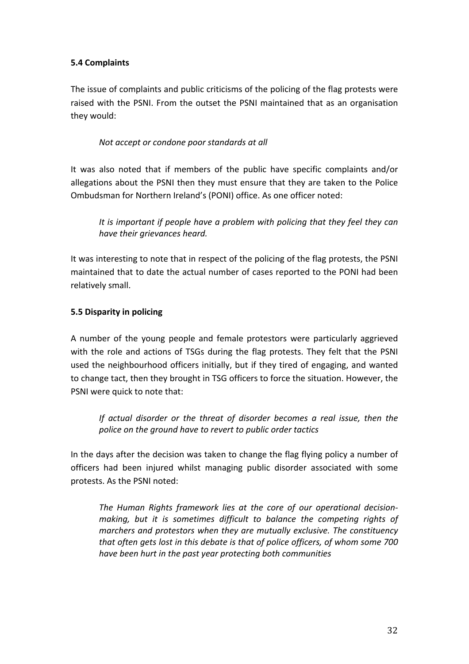## **5.4 Complaints**

The issue of complaints and public criticisms of the policing of the flag protests were raised with the PSNI. From the outset the PSNI maintained that as an organisation they would:

### *Not accept or condone poor standards at all*

It was also noted that if members of the public have specific complaints and/or allegations about the PSNI then they must ensure that they are taken to the Police Ombudsman for Northern Ireland's (PONI) office. As one officer noted:

It is important if people have a problem with policing that they feel they can *have their grievances heard.*

It was interesting to note that in respect of the policing of the flag protests, the PSNI maintained that to date the actual number of cases reported to the PONI had been relatively small.

### **5.5 Disparity in policing**

A number of the young people and female protestors were particularly aggrieved with the role and actions of TSGs during the flag protests. They felt that the PSNI used the neighbourhood officers initially, but if they tired of engaging, and wanted to change tact, then they brought in TSG officers to force the situation. However, the PSNI were quick to note that:

*If actual disorder or the threat of disorder becomes a real issue, then the* police on the ground have to revert to public order tactics

In the days after the decision was taken to change the flag flying policy a number of officers had been injured whilst managing public disorder associated with some protests. As the PSNI noted:

The Human Rights framework lies at the core of our operational decisionmaking, but it is sometimes difficult to balance the competing rights of *marchers* and protestors when they are mutually exclusive. The constituency *that often gets lost in this debate is that of police officers, of whom some 700 have been hurt in the past year protecting both communities*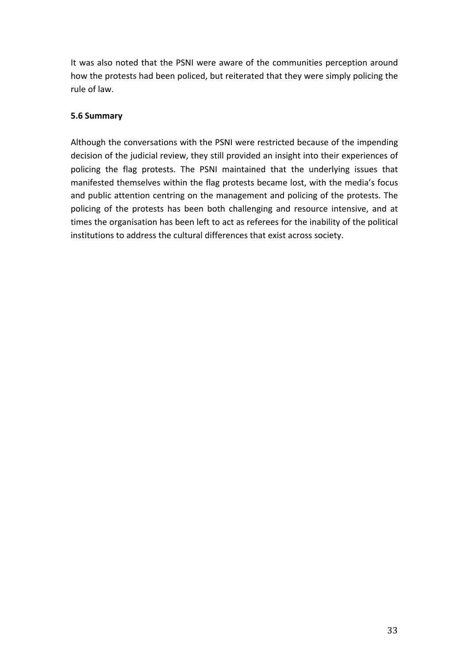It was also noted that the PSNI were aware of the communities perception around how the protests had been policed, but reiterated that they were simply policing the rule of law.

## **5.6 Summary**

Although the conversations with the PSNI were restricted because of the impending decision of the judicial review, they still provided an insight into their experiences of policing the flag protests. The PSNI maintained that the underlying issues that manifested themselves within the flag protests became lost, with the media's focus and public attention centring on the management and policing of the protests. The policing of the protests has been both challenging and resource intensive, and at times the organisation has been left to act as referees for the inability of the political institutions to address the cultural differences that exist across society.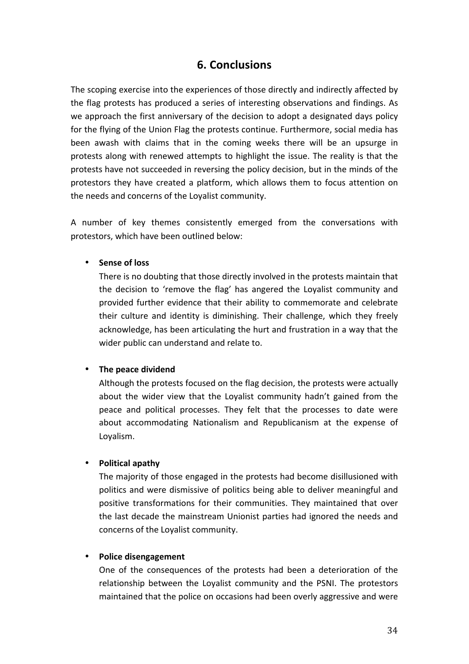## **6. Conclusions**

The scoping exercise into the experiences of those directly and indirectly affected by the flag protests has produced a series of interesting observations and findings. As we approach the first anniversary of the decision to adopt a designated days policy for the flying of the Union Flag the protests continue. Furthermore, social media has been awash with claims that in the coming weeks there will be an upsurge in protests along with renewed attempts to highlight the issue. The reality is that the protests have not succeeded in reversing the policy decision, but in the minds of the protestors they have created a platform, which allows them to focus attention on the needs and concerns of the Loyalist community.

A number of key themes consistently emerged from the conversations with protestors, which have been outlined below:

#### • **Sense of loss**

There is no doubting that those directly involved in the protests maintain that the decision to 'remove the flag' has angered the Loyalist community and provided further evidence that their ability to commemorate and celebrate their culture and identity is diminishing. Their challenge, which they freely acknowledge, has been articulating the hurt and frustration in a way that the wider public can understand and relate to.

#### The peace dividend

Although the protests focused on the flag decision, the protests were actually about the wider view that the Loyalist community hadn't gained from the peace and political processes. They felt that the processes to date were about accommodating Nationalism and Republicanism at the expense of Loyalism.

### • **Political apathy**

The majority of those engaged in the protests had become disillusioned with politics and were dismissive of politics being able to deliver meaningful and positive transformations for their communities. They maintained that over the last decade the mainstream Unionist parties had ignored the needs and concerns of the Loyalist community.

#### • **Police disengagement**

One of the consequences of the protests had been a deterioration of the relationship between the Loyalist community and the PSNI. The protestors maintained that the police on occasions had been overly aggressive and were